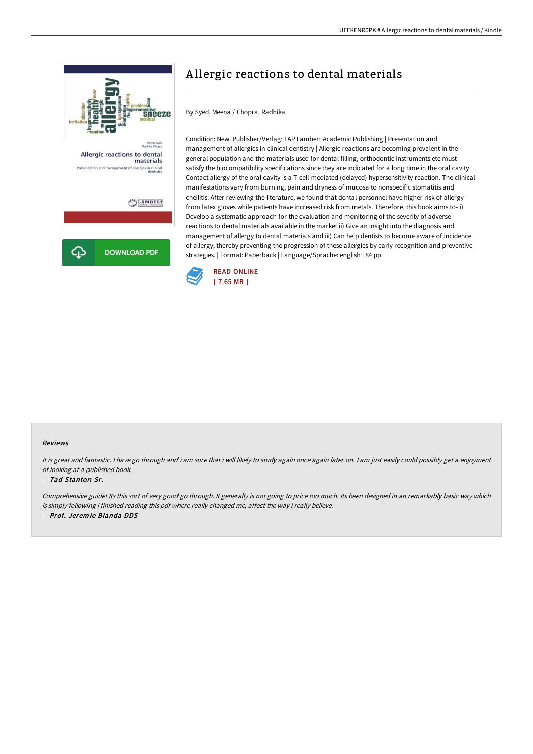

# A llergic reactions to dental materials

By Syed, Meena / Chopra, Radhika

Condition: New. Publisher/Verlag: LAP Lambert Academic Publishing | Presentation and management of allergies in clinical dentistry | Allergic reactions are becoming prevalent in the general population and the materials used for dental filling, orthodontic instruments etc must satisfy the biocompatibility specifications since they are indicated for a long time in the oral cavity. Contact allergy of the oral cavity is a T-cell-mediated (delayed) hypersensitivity reaction. The clinical manifestations vary from burning, pain and dryness of mucosa to nonspecific stomatitis and cheilitis. After reviewing the literature, we found that dental personnel have higher risk of allergy from latex gloves while patients have increased risk from metals. Therefore, this book aims to- i) Develop a systematic approach for the evaluation and monitoring of the severity of adverse reactions to dental materials available in the market ii) Give an insight into the diagnosis and management of allergy to dental materials and iii) Can help dentists to become aware of incidence of allergy; thereby preventing the progression of these allergies by early recognition and preventive strategies. | Format: Paperback | Language/Sprache: english | 84 pp.



#### Reviews

It is great and fantastic. I have go through and i am sure that i will likely to study again once again later on. I am just easily could possibly get a enjoyment of looking at <sup>a</sup> published book.

#### -- Tad Stanton Sr.

Comprehensive guide! Its this sort of very good go through. It generally is not going to price too much. Its been designed in an remarkably basic way which is simply following i finished reading this pdf where really changed me, affect the way i really believe. -- Prof. Jeremie Blanda DDS